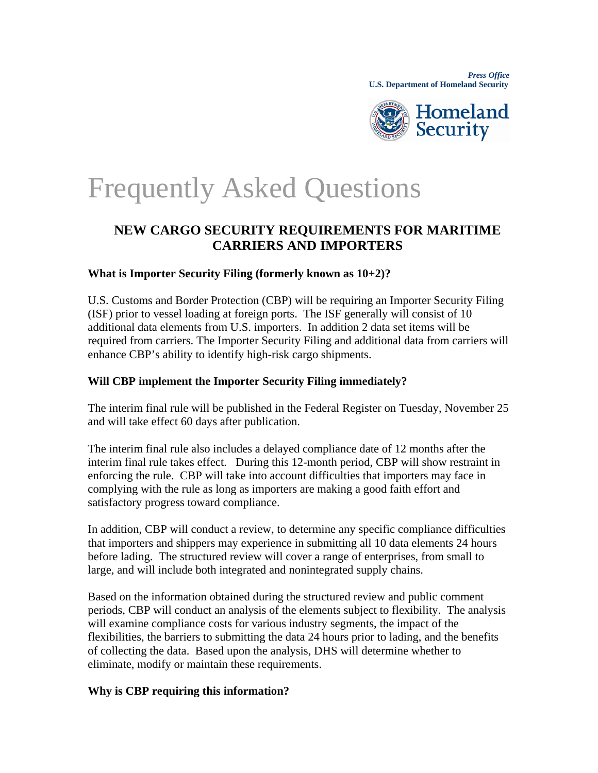

# Frequently Asked Questions

# **NEW CARGO SECURITY REQUIREMENTS FOR MARITIME CARRIERS AND IMPORTERS**

# **What is Importer Security Filing (formerly known as 10+2)?**

U.S. Customs and Border Protection (CBP) will be requiring an Importer Security Filing (ISF) prior to vessel loading at foreign ports. The ISF generally will consist of 10 additional data elements from U.S. importers. In addition 2 data set items will be required from carriers. The Importer Security Filing and additional data from carriers will enhance CBP's ability to identify high-risk cargo shipments.

# **Will CBP implement the Importer Security Filing immediately?**

The interim final rule will be published in the Federal Register on Tuesday, November 25 and will take effect 60 days after publication.

The interim final rule also includes a delayed compliance date of 12 months after the interim final rule takes effect. During this 12-month period, CBP will show restraint in enforcing the rule. CBP will take into account difficulties that importers may face in complying with the rule as long as importers are making a good faith effort and satisfactory progress toward compliance.

In addition, CBP will conduct a review, to determine any specific compliance difficulties that importers and shippers may experience in submitting all 10 data elements 24 hours before lading. The structured review will cover a range of enterprises, from small to large, and will include both integrated and nonintegrated supply chains.

Based on the information obtained during the structured review and public comment periods, CBP will conduct an analysis of the elements subject to flexibility. The analysis will examine compliance costs for various industry segments, the impact of the flexibilities, the barriers to submitting the data 24 hours prior to lading, and the benefits of collecting the data. Based upon the analysis, DHS will determine whether to eliminate, modify or maintain these requirements.

#### **Why is CBP requiring this information?**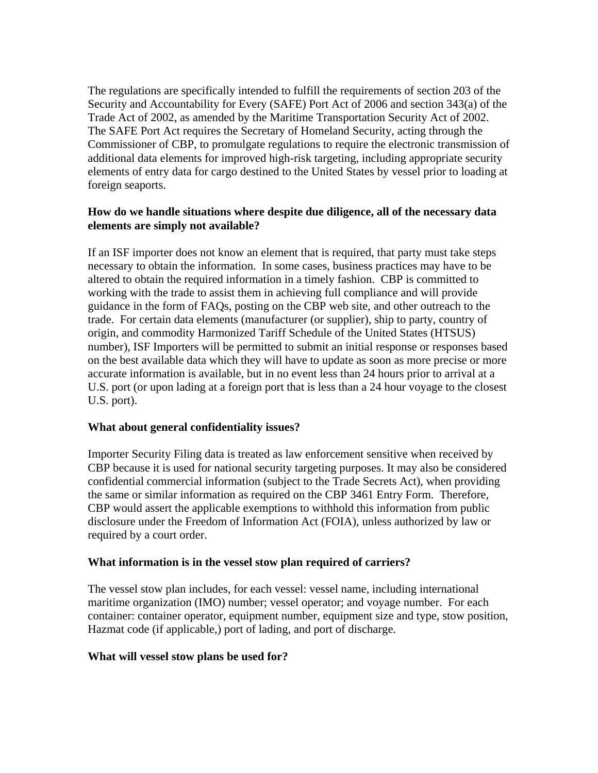The regulations are specifically intended to fulfill the requirements of section 203 of the Security and Accountability for Every (SAFE) Port Act of 2006 and section 343(a) of the Trade Act of 2002, as amended by the Maritime Transportation Security Act of 2002. The SAFE Port Act requires the Secretary of Homeland Security, acting through the Commissioner of CBP, to promulgate regulations to require the electronic transmission of additional data elements for improved high-risk targeting, including appropriate security elements of entry data for cargo destined to the United States by vessel prior to loading at foreign seaports.

#### **How do we handle situations where despite due diligence, all of the necessary data elements are simply not available?**

If an ISF importer does not know an element that is required, that party must take steps necessary to obtain the information. In some cases, business practices may have to be altered to obtain the required information in a timely fashion. CBP is committed to working with the trade to assist them in achieving full compliance and will provide guidance in the form of FAQs, posting on the CBP web site, and other outreach to the trade. For certain data elements (manufacturer (or supplier), ship to party, country of origin, and commodity Harmonized Tariff Schedule of the United States (HTSUS) number), ISF Importers will be permitted to submit an initial response or responses based on the best available data which they will have to update as soon as more precise or more accurate information is available, but in no event less than 24 hours prior to arrival at a U.S. port (or upon lading at a foreign port that is less than a 24 hour voyage to the closest U.S. port).

#### **What about general confidentiality issues?**

Importer Security Filing data is treated as law enforcement sensitive when received by CBP because it is used for national security targeting purposes. It may also be considered confidential commercial information (subject to the Trade Secrets Act), when providing the same or similar information as required on the CBP 3461 Entry Form. Therefore, CBP would assert the applicable exemptions to withhold this information from public disclosure under the Freedom of Information Act (FOIA), unless authorized by law or required by a court order.

#### **What information is in the vessel stow plan required of carriers?**

The vessel stow plan includes, for each vessel: vessel name, including international maritime organization (IMO) number; vessel operator; and voyage number. For each container: container operator, equipment number, equipment size and type, stow position, Hazmat code (if applicable,) port of lading, and port of discharge.

#### **What will vessel stow plans be used for?**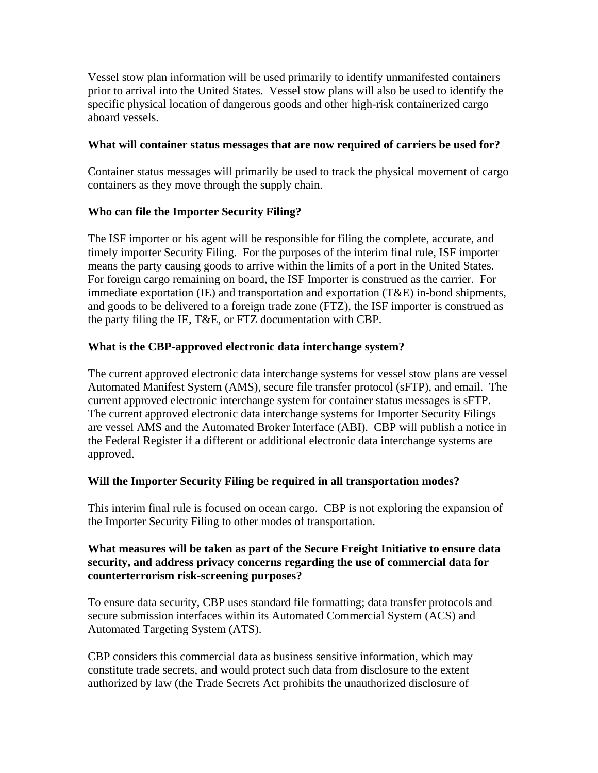Vessel stow plan information will be used primarily to identify unmanifested containers prior to arrival into the United States. Vessel stow plans will also be used to identify the specific physical location of dangerous goods and other high-risk containerized cargo aboard vessels.

#### **What will container status messages that are now required of carriers be used for?**

Container status messages will primarily be used to track the physical movement of cargo containers as they move through the supply chain.

#### **Who can file the Importer Security Filing?**

The ISF importer or his agent will be responsible for filing the complete, accurate, and timely importer Security Filing. For the purposes of the interim final rule, ISF importer means the party causing goods to arrive within the limits of a port in the United States. For foreign cargo remaining on board, the ISF Importer is construed as the carrier. For immediate exportation (IE) and transportation and exportation (T&E) in-bond shipments, and goods to be delivered to a foreign trade zone (FTZ), the ISF importer is construed as the party filing the IE, T&E, or FTZ documentation with CBP.

#### **What is the CBP-approved electronic data interchange system?**

The current approved electronic data interchange systems for vessel stow plans are vessel Automated Manifest System (AMS), secure file transfer protocol (sFTP), and email. The current approved electronic interchange system for container status messages is sFTP. The current approved electronic data interchange systems for Importer Security Filings are vessel AMS and the Automated Broker Interface (ABI). CBP will publish a notice in the Federal Register if a different or additional electronic data interchange systems are approved.

#### **Will the Importer Security Filing be required in all transportation modes?**

This interim final rule is focused on ocean cargo. CBP is not exploring the expansion of the Importer Security Filing to other modes of transportation.

#### **What measures will be taken as part of the Secure Freight Initiative to ensure data security, and address privacy concerns regarding the use of commercial data for counterterrorism risk-screening purposes?**

To ensure data security, CBP uses standard file formatting; data transfer protocols and secure submission interfaces within its Automated Commercial System (ACS) and Automated Targeting System (ATS).

CBP considers this commercial data as business sensitive information, which may constitute trade secrets, and would protect such data from disclosure to the extent authorized by law (the Trade Secrets Act prohibits the unauthorized disclosure of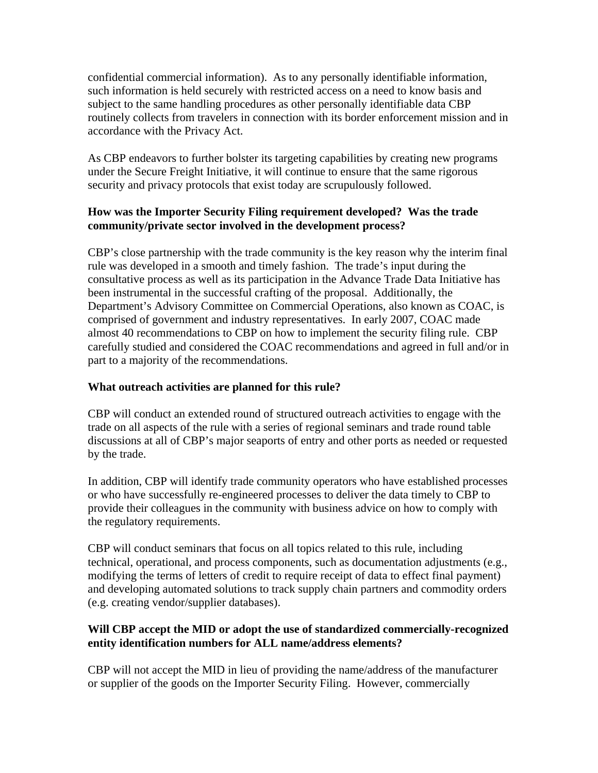confidential commercial information). As to any personally identifiable information, such information is held securely with restricted access on a need to know basis and subject to the same handling procedures as other personally identifiable data CBP routinely collects from travelers in connection with its border enforcement mission and in accordance with the Privacy Act.

As CBP endeavors to further bolster its targeting capabilities by creating new programs under the Secure Freight Initiative, it will continue to ensure that the same rigorous security and privacy protocols that exist today are scrupulously followed.

### **How was the Importer Security Filing requirement developed? Was the trade community/private sector involved in the development process?**

CBP's close partnership with the trade community is the key reason why the interim final rule was developed in a smooth and timely fashion. The trade's input during the consultative process as well as its participation in the Advance Trade Data Initiative has been instrumental in the successful crafting of the proposal. Additionally, the Department's Advisory Committee on Commercial Operations, also known as COAC, is comprised of government and industry representatives. In early 2007, COAC made almost 40 recommendations to CBP on how to implement the security filing rule. CBP carefully studied and considered the COAC recommendations and agreed in full and/or in part to a majority of the recommendations.

# **What outreach activities are planned for this rule?**

CBP will conduct an extended round of structured outreach activities to engage with the trade on all aspects of the rule with a series of regional seminars and trade round table discussions at all of CBP's major seaports of entry and other ports as needed or requested by the trade.

In addition, CBP will identify trade community operators who have established processes or who have successfully re-engineered processes to deliver the data timely to CBP to provide their colleagues in the community with business advice on how to comply with the regulatory requirements.

CBP will conduct seminars that focus on all topics related to this rule, including technical, operational, and process components, such as documentation adjustments (e.g., modifying the terms of letters of credit to require receipt of data to effect final payment) and developing automated solutions to track supply chain partners and commodity orders (e.g. creating vendor/supplier databases).

#### **Will CBP accept the MID or adopt the use of standardized commercially-recognized entity identification numbers for ALL name/address elements?**

CBP will not accept the MID in lieu of providing the name/address of the manufacturer or supplier of the goods on the Importer Security Filing. However, commercially